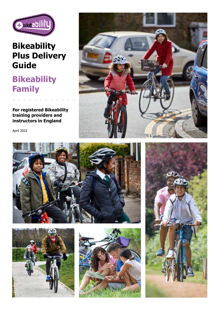

# **Bikeability Plus Delivery Guide**

# **Bikeability Family**

**For registered Bikeability training providers and instructors in England**

April 2022









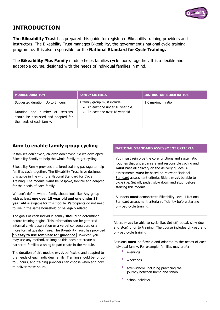

# **INTRODUCTION**

**The Bikeability Trust** has prepared this guide for registered Bikeability training providers and instructors. The Bikeability Trust manages Bikeability, the government's national cycle training programme. It is also responsible for the **National Standard for Cycle Training.**

The **Bikeability Plus Family** module helps families cycle more, together. It is a flexible and adaptable course, designed with the needs of individual families in mind.

#### **MODULE DURATION FAMILY CRITERIA INSTRUCTOR: RIDER RATIOS** Suggested duration: Up to 3 hours Duration and number of sessions should be discussed and adapted for the needs of each family. A family group must include: 1:6 maximum ratio • At least one under 18 year old • At least one over 18 year old

## **Aim: to enable family group cycling**

If families don't cycle, children don't cycle. So we developed Bikeability Family to help the whole family to get cycling.

Bikeability Family provides a tailored training package to help families cycle together. The Bikeability Trust have designed this guide in line with the National Standard for Cycle Training. The module **must** be bespoke, flexible and adapted for the needs of each family.

We don't define what a family should look like. Any group with at least **one over 18 year old and one under 18 year old** is eligable for this module. Participants do not need to live in the same household or be legally related.

The goals of each individual family **should** be determined before training begins. This information can be gathered informally, via observation or a verbal conversation, or a more formal questionnaire. The Bikeability Trust has provided **an easy to use template [for guidance.](https://www.bikeability.org.uk/wp-content/uploads/2022/05/Family-pre-course-questionnaire-template.docx)** However, you may use any method, as long as this does not create a barrier to families wishing to participate in the module.

The duration of this module **must** be flexible and adapted to the needs of each individual family. Training should be for up to 3 hours, and training providers can choose when and how to deliver these hours.

#### **NATIONAL STANDARD ASSESSMENT CRITERIA**

You **must** reinforce the core functions and systematic routines that underpin safe and responsible cycling and **must** base all delivery on the delivery guides. All assessments **must** be based on relevant National Standard assessment criteria. Riders **must** be able to cycle (i.e. Set off, pedal, slow down and stop) before starting this module.

All riders **must** demonstrate Bikeability Level 1 National Standard assessment criteria sufficiently before starting on-road cycle training.

Riders **must** be able to cycle (i.e. Set off, pedal, slow down and stop) prior to training. The course includes off-road and on-road cycle training.

Sessions **must** be flexible and adapted to the needs of each individual family. For example, families may prefer:

- evenings
- weekends
- after-school, including practicing the journey between home and school
- school holidays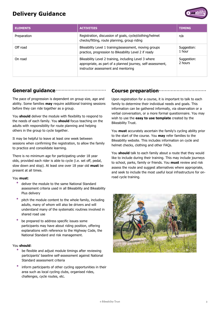



| <b>ELEMENTS</b> | <b>ACTIVITIES</b>                                                                                                                                           | <b>TIMING</b>          |
|-----------------|-------------------------------------------------------------------------------------------------------------------------------------------------------------|------------------------|
| Preparation     | Registration, discussion of goals, cycle/clothing/helmet<br>checks/fitting, route planning, group riding                                                    | n/a                    |
| Off road        | Bikeability Level 1 training/assessment, moving groups<br>practice, progression to Bikeability Level 2 if ready                                             | Suggestion:<br>1 hour  |
| On road         | Bikeability Level 2 training, including Level 3 where<br>appropriate, as part of a planned journey, self-assessment,<br>instructor assessment and mentoring | Suggestion:<br>2 hours |

#### **General guidance**

The pace of progression is dependent on group size, age and ability. Some families **may** require additional training sessions before they can ride together as a group.

You **should** deliver the module with flexibility to respond to the needs of each family. You **should** focus teaching on the adults with responsibility for route planning and helping others in the group to cycle together.

It may be helpful to leave at least one week between sessions when confirming the registration, to allow the family to practice and consolidate learning.

There is no minimum age for participating under 18 year olds, provided each rider is able to cycle (i.e. set off, pedal, slow down and stop). At least one over 18 year old **must** be present at all times.

#### You **must**:

- deliver the module to the same National Standard assessment criteria used in all Bikeability and Bikeability Plus delivery
- pitch the module content to the whole family, including adults, many of whom will also be drivers and will understand many of the systematic routines involved in shared road use
- be prepared to address specific issues some participants may have about riding position, offering explanations with reference to the Highway Code, the National Standard and risk management.

#### You **should**:

- be flexible and adjust module timings after reviewing participants' baseline self-assessment against National Standard assessment criteria
- inform participants of other cycling opportunities in their area such as local cycling clubs, organised rides, challenges, cycle routes, etc.

#### **Course preparation**

Upon registration for a course, it is important to talk to each family to determine their individual needs and goals. This information can be gathered informally, via observation or a verbal conversation, or a more formal questionnaire. You may wish to use the **easy to use template** created by the Bikeability Trust.

You **must** accurately ascertain the family's cycling ability prior to the start of the course. You **may** refer families to the Bikeability website. This includes information on cycle and helmet checks, clothing and other FAQs.

You **should** talk to each family about a route that they would like to include during their training. This may include journeys to school, parks, family or friends. You **must** review and risk assess the route and suggest alternatives where appropriate, and seek to include the most useful local infrastructure for onroad cycle training.

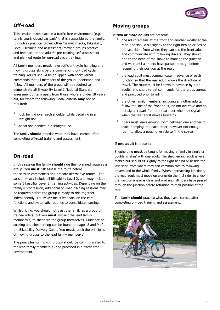

# **Off-road**

This session takes place in a traffic-free environment (e.g. tennis court, closed car park) that is accessible by the family. It involves practical cycle/clothes/helmet checks, Bikeability Level 1 training and assessment, moving groups practice, and feedback on the adult/s' pre-training self-assessment and planned route for on-road cycle training.

All family members **must** have sufficient cycle handling and moving groups skills before commencing on-road cycle training. Adults should be equipped with short verbal commands that all members of the group understand and follow. All members of the group will be required to demonstrate all Bikeability Level 1 National Standard assessment criteria apart from those who are under 18 years old, for whom the following 'Pedal' criteria **may** not be required:

- look behind over each shoulder while pedalling in a straight line
- pedal one handed in a straight line.

The family **should** practise what they have learned after completing off-road training and assessment.

#### **On-road**

In this session the family **should** ride their planned route as a group. You **must** risk assess the route before the session commences and prepare alternative routes. The session **must** include all Bikeability Level 2, and **may** include some Bikeability Level 3, training activities. Depending on the family's progression, additional on-road training sessions may be required before the group is ready to ride together independently. You **must** focus feedback on the core functions and systematic routines to consolidate learning.

Whilst riding, you should not treat the family as a group of trainee riders, but you **must** instruct the lead family members(s) to shepherd the group themselves. Guidance on snaking and shepherding can be found on pages 8 and 9 of the Bikeability Delivery Guide. You **must** teach the principles of moving groups to the lead family member(s).

The principles for moving groups should be communicated to the lead family members(s) and practiced in a traffic free environment.

### **Moving groups**

If **two or more adults** are present:

- one adult remains at the front and another mostly at the rear, and should sit slightly to the right behind or beside the last rider, from where they can see the front adult and communicate with following drivers. They should ride to the head of the snake to manage the junction and wait until all riders have passed through before resuming their position at the rear.
- the lead adult must communicate in advance of each junction so that the rear adult knows the direction of travel. The route must be known in advance by both adults, and short verbal commands for the group agreed and practiced prior to riding.
- the other family members, including any other adults, follow the line of the front adult, do not overtake and do not signal (apart from the rear rider who may signal when the rear adult moves forward)
- riders must leave enough room between one another to avoid bumping into each other, however not enough room to allow a passing vehicle to fill the space.

#### If **one adult** is present:

Shepherding **must** be taught for moving a family in single or double 'snakes' with one adult. The shepherding adult is very mobile but should sit slightly to the right behind or beside the last rider, from where they can communicate to following drivers and to the whole family. When approaching junctions, the lead adult must move up alongside the first rider to check the junction ahead is clear and wait until all riders have passed through the junction before returning to their position at the rear

The family **should** practice what they have learned after completing on-road training and assessment.

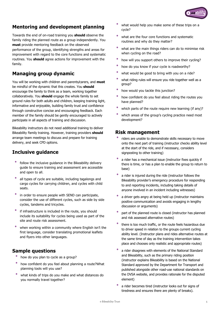

## **Mentoring and development planning**

Towards the end of on-road training you **should** observe the family riding the planned route as a group independently. You **must** provide mentoring feedback on the observed performance of the group, identifying strengths and areas for improvement with regard to the core functions and systematic routines. You **should** agree actions for improvement with the family.

## **Managing group dynamic**

You will be working with children and parents/carers, and **must** be mindful of the dynamic that this creates. You **should** encourage the family to think as a team, working together collaboratively. You **should** engage the whole family to set ground rules for both adults and children, keeping training light, informative and enjoyable, building family trust and confidence through constructive concise and encouraging feedback. Each member of the family should be gently encouraged to actively participate in all aspects of training and discussion.

Bikeability instructors do not need additional training to deliver Bikeability Family training. However, training providers **should** arrange team meetings to discuss and prepare for training delivery, and seek CPD options.

#### **Inclusive guidance**

- follow the inclusive guidance in the Bikeability delivery guide to ensure training and assessment are accessible and open to all.
- all types of cycle are suitable, including tagalongs and cargo cycles for carrying children, and cycles with child seats.
- in order to ensure people with SEND can participate, consider the use of different cycles, such as side by side cycles, tandems and tricycles.
- if infrastructure is included in the route, you should include its suitability for cycles being used as part of the site and route risk assessment.
- when working within a community where English isn't the first language, consider translating promotional leaflets and flyers into other languages.

#### **Sample questions**

- how do you plan to cycle as a group?
- how confident do you feel about planning <sup>a</sup> route?What planning tools will you use?
- what kinds of trips do you make and what distances do you normally travel together?
- what would help you make some of these trips on a cycle?
- what are the four core functions and systematic routines and why do they matter?
- what are the main things riders can do to minimise risk when cycling on the road?
- how will you support others to improve their cycling?
- how do you know if your cycle is roadworthy?
- what would be good to bring with you on a ride?
- what riding rules will ensure you ride together well as <sup>a</sup> group?
- how would you tackle this junction?
- how confident do you feel about riding the routes you have planned?
- which parts of the route require new learning (if any)?
- which areas of the group's cycling practice need most development?

#### **Risk management**

- riders are unable to demonstrate skills necessary to move onto the next part of training (instructor checks ability level at the start of the ride, and if necessary, considers signposting to other training)
- a rider has a mechanical issue (instructor fixes quickly if there is time, or has a plan to enable the group to return to base)
- a rider is injured during the ride (instructor follows the Bikeability provider's emergency procedure for responding to and reporting incidents, including taking details of anyone involved in an incident including witnesses)
- a driver gets angry at being held up (instructor maintains positive communication and avoids engaging in lengthy discussion or arguments)
- part of the planned route is closed (instructor has planned and risk assessed alternative routes)
- there is too much traffic, or the route feels hazardous due to driver speed in relation to the groups current cycling ability level. (Instructor plans and rides alternative routes at the same time of day as the training intervention takes place and chooses only realistic and appropriate routes)
- a rider disagrees with elements of the National Standard and Bikeability, such as the primary riding position (instructor explains Bikeability is based on the National Standard approved by the Department for Transport and published alongside other road-use national standards on the DVSA website, and provides rationale for the disputed element)
- a rider becomes tired (instructor looks out for signs of tiredness and ensures there are plenty of breaks).